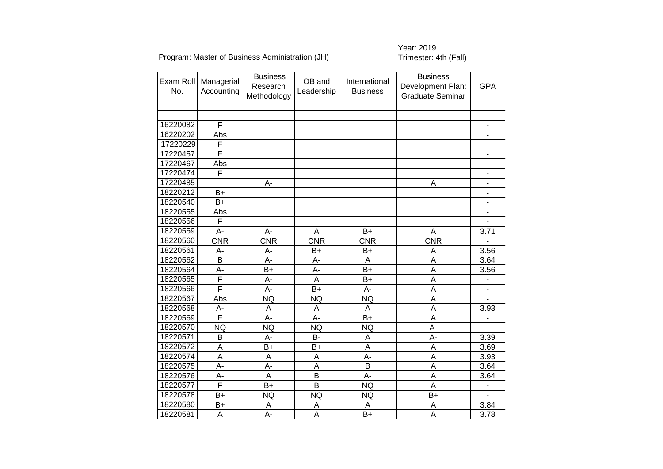Program: Master of Business Administration (JH)

| Exam Roll<br>No. | Managerial<br>Accounting | <b>Business</b><br>Research<br>Methodology | OB and<br>Leadership | International<br><b>Business</b> | <b>Business</b><br>Development Plan:<br><b>Graduate Seminar</b> | <b>GPA</b>               |
|------------------|--------------------------|--------------------------------------------|----------------------|----------------------------------|-----------------------------------------------------------------|--------------------------|
|                  |                          |                                            |                      |                                  |                                                                 |                          |
|                  |                          |                                            |                      |                                  |                                                                 |                          |
| 16220082         | F                        |                                            |                      |                                  |                                                                 |                          |
| 16220202         | Abs                      |                                            |                      |                                  |                                                                 |                          |
| 17220229         | F                        |                                            |                      |                                  |                                                                 |                          |
| 17220457         | F                        |                                            |                      |                                  |                                                                 |                          |
| 17220467         | Abs                      |                                            |                      |                                  |                                                                 | $\frac{1}{2}$            |
| 17220474         | F                        |                                            |                      |                                  |                                                                 | $\overline{\phantom{0}}$ |
| 17220485         |                          | A-                                         |                      |                                  | А                                                               | $\overline{a}$           |
| 18220212         | $B+$                     |                                            |                      |                                  |                                                                 | $\blacksquare$           |
| 18220540         | $B+$                     |                                            |                      |                                  |                                                                 | $\overline{\phantom{0}}$ |
| 18220555         | Abs                      |                                            |                      |                                  |                                                                 |                          |
| 18220556         | F                        |                                            |                      |                                  |                                                                 | $\overline{\phantom{0}}$ |
| 18220559         | A-                       | A-                                         | A                    | $B+$                             | A                                                               | 3.71                     |
| 18220560         | $\overline{\text{CNR}}$  | CNR                                        | CNR                  | <b>CNR</b>                       | CNR                                                             | $\overline{a}$           |
| 18220561         | A-                       | A-                                         | $B+$                 | $B+$                             | A                                                               | 3.56                     |
| 18220562         | $\overline{B}$           | A-                                         | A-                   | A                                | A                                                               | 3.64                     |
| 18220564         | A-                       | $B+$                                       | $A -$                | $B+$                             | $\overline{A}$                                                  | 3.56                     |
| 18220565         | F                        | A-                                         | A                    | $B+$                             | A                                                               |                          |
| 18220566         | F                        | A-                                         | $B+$                 | A-                               | A                                                               |                          |
| 18220567         | Abs                      | <b>NQ</b>                                  | <b>NQ</b>            | <b>NQ</b>                        | A                                                               |                          |
| 18220568         | A-                       | A                                          | A                    | A                                | $\overline{\mathsf{A}}$                                         | 3.93                     |
| 18220569         | F                        | A-                                         | A-                   | $B+$                             | A                                                               |                          |
| 18220570         | <b>NQ</b>                | <b>NQ</b>                                  | <b>NQ</b>            | <b>NQ</b>                        | A-                                                              |                          |
| 18220571         | B                        | A-                                         | <b>B-</b>            | A                                | A-                                                              | 3.39                     |
| 18220572         | A                        | $B+$                                       | $B+$                 | A                                | A                                                               | 3.69                     |
| 18220574         | Α                        | Α                                          | Α                    | A-                               | Α                                                               | 3.93                     |
| 18220575         | A-                       | A-                                         | A                    | B                                | A                                                               | 3.64                     |
| 18220576         | A-                       | $\overline{A}$                             | B                    | A-                               | A                                                               | 3.64                     |
| 18220577         | F                        | $B+$                                       | B                    | <b>NQ</b>                        | A                                                               | $\overline{a}$           |
| 18220578         | $B+$                     | <b>NQ</b>                                  | <b>NQ</b>            | <b>NQ</b>                        | $B+$                                                            | L.                       |
| 18220580         | $B+$                     | A                                          | A                    | A                                | A                                                               | 3.84                     |
| 18220581         | A                        | A-                                         | $\overline{A}$       | $B+$                             | A                                                               | 3.78                     |